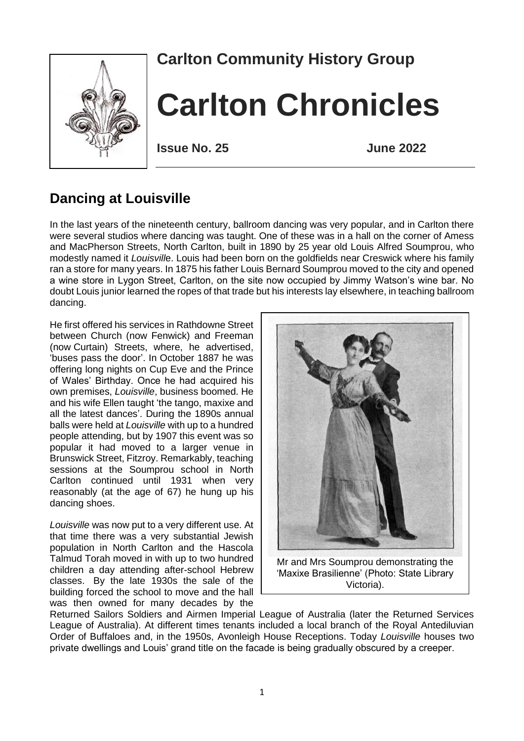

# **Carlton Community History Group**

# **Carlton Chronicles**

**Issue No. 25 June 2022**

## **Dancing at Louisville**

In the last years of the nineteenth century, ballroom dancing was very popular, and in Carlton there were several studios where dancing was taught. One of these was in a hall on the corner of Amess and MacPherson Streets, North Carlton, built in 1890 by 25 year old Louis Alfred Soumprou, who modestly named it *Louisvill*e. Louis had been born on the goldfields near Creswick where his family ran a store for many years. In 1875 his father Louis Bernard Soumprou moved to the city and opened a wine store in Lygon Street, Carlton, on the site now occupied by Jimmy Watson's wine bar. No doubt Louis junior learned the ropes of that trade but his interests lay elsewhere, in teaching ballroom dancing.

He first offered his services in Rathdowne Street between Church (now Fenwick) and Freeman (now Curtain) Streets, where, he advertised, 'buses pass the door'. In October 1887 he was offering long nights on Cup Eve and the Prince of Wales' Birthday. Once he had acquired his own premises, *Louisville*, business boomed. He and his wife Ellen taught 'the tango, maxixe and all the latest dances'. During the 1890s annual balls were held at *Louisville* with up to a hundred people attending, but by 1907 this event was so popular it had moved to a larger venue in Brunswick Street, Fitzroy. Remarkably, teaching sessions at the Soumprou school in North Carlton continued until 1931 when very reasonably (at the age of 67) he hung up his dancing shoes.

*Louisville* was now put to a very different use. At that time there was a very substantial Jewish population in North Carlton and the Hascola Talmud Torah moved in with up to two hundred children a day attending after-school Hebrew classes. By the late 1930s the sale of the building forced the school to move and the hall was then owned for many decades by the



Returned Sailors Soldiers and Airmen Imperial League of Australia (later the Returned Services League of Australia). At different times tenants included a local branch of the Royal Antediluvian Order of Buffaloes and, in the 1950s, Avonleigh House Receptions. Today *Louisville* houses two private dwellings and Louis' grand title on the facade is being gradually obscured by a creeper.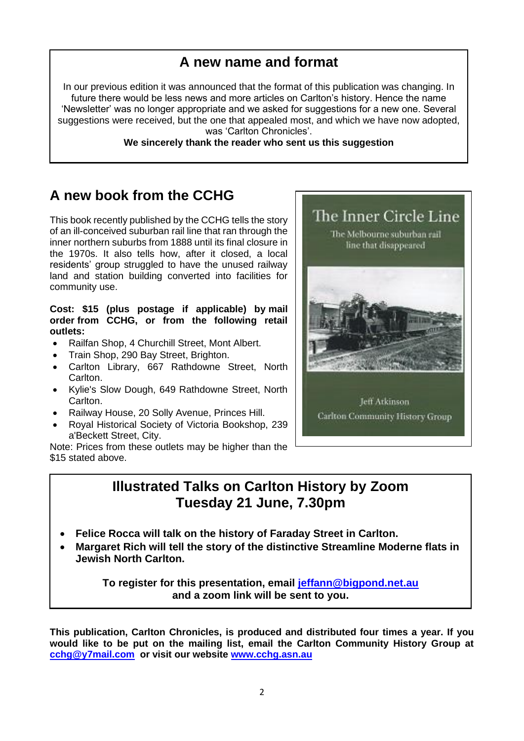#### **A new name and format**

In our previous edition it was announced that the format of this publication was changing. In future there would be less news and more articles on Carlton's history. Hence the name 'Newsletter' was no longer appropriate and we asked for suggestions for a new one. Several suggestions were received, but the one that appealed most, and which we have now adopted, was 'Carlton Chronicles'.

**We sincerely thank the reader who sent us this suggestion**

#### **A new book from the CCHG**

This book recently published by the CCHG tells the story of an ill-conceived suburban rail line that ran through the inner northern suburbs from 1888 until its final closure in the 1970s. It also tells how, after it closed, a local residents' group struggled to have the unused railway land and station building converted into facilities for community use.

#### **Cost: \$15 (plus postage if applicable) by [mail](http://www.cchg.asn.au/publications.html#mailorder)  [order](http://www.cchg.asn.au/publications.html#mailorder) from CCHG, or from the following retail outlets:**

- Railfan Shop, 4 Churchill Street, Mont Albert.
- Train Shop, 290 Bay Street, Brighton.
- Carlton Library, 667 Rathdowne Street, North Carlton.
- Kylie's Slow Dough, 649 Rathdowne Street, North Carlton.
- Railway House, 20 Solly Avenue, Princes Hill.
- Royal Historical Society of Victoria Bookshop, 239 a'Beckett Street, City.

Note: Prices from these outlets may be higher than the \$15 stated above.

#### **Illustrated Talks on Carlton History by Zoom Tuesday 21 June, 7.30pm**

- **Felice Rocca will talk on the history of Faraday Street in Carlton.**
- **Margaret Rich will tell the story of the distinctive Streamline Moderne flats in Jewish North Carlton.**

**To register for this presentation, email [jeffann@bigpond.net.au](mailto:jeffann@bigpond.net.au) and a zoom link will be sent to you.**

**This publication, Carlton Chronicles, is produced and distributed four times a year. If you would like to be put on the mailing list, email the Carlton Community History Group at [cchg@y7mail.com](mailto:cchg@y7mail.com) or visit our website [www.cchg.asn.au](http://www.cchg.asn.au/)**

Carlton Community History Group



The Inner Circle Line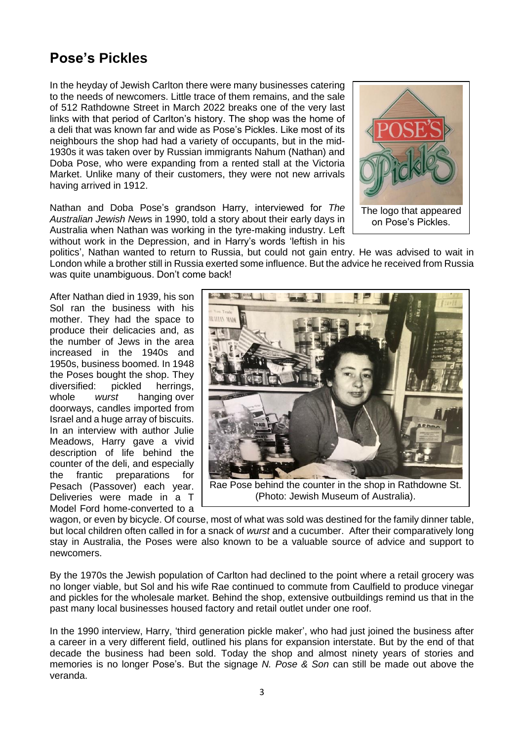## **Pose's Pickles**

In the heyday of Jewish Carlton there were many businesses catering to the needs of newcomers. Little trace of them remains, and the sale of 512 Rathdowne Street in March 2022 breaks one of the very last links with that period of Carlton's history. The shop was the home of a deli that was known far and wide as Pose's Pickles. Like most of its neighbours the shop had had a variety of occupants, but in the mid-1930s it was taken over by Russian immigrants Nahum (Nathan) and Doba Pose, who were expanding from a rented stall at the Victoria Market. Unlike many of their customers, they were not new arrivals having arrived in 1912.

Nathan and Doba Pose's grandson Harry, interviewed for *The Australian Jewish New*s in 1990, told a story about their early days in Australia when Nathan was working in the tyre-making industry. Left without work in the Depression, and in Harry's words 'leftish in his



politics', Nathan wanted to return to Russia, but could not gain entry. He was advised to wait in London while a brother still in Russia exerted some influence. But the advice he received from Russia was quite unambiguous. Don't come back!

After Nathan died in 1939, his son Sol ran the business with his mother. They had the space to produce their delicacies and, as the number of Jews in the area increased in the 1940s and 1950s, business boomed. In 1948 the Poses bought the shop. They diversified: pickled herrings, whole *wurst* hanging over doorways, candles imported from Israel and a huge array of biscuits. In an interview with author Julie Meadows, Harry gave a vivid description of life behind the counter of the deli, and especially the frantic preparations for Pesach (Passover) each year. Deliveries were made in a T Model Ford home-converted to a



wagon, or even by bicycle. Of course, most of what was sold was destined for the family dinner table, but local children often called in for a snack of *wurst* and a cucumber. After their comparatively long stay in Australia, the Poses were also known to be a valuable source of advice and support to newcomers.

By the 1970s the Jewish population of Carlton had declined to the point where a retail grocery was no longer viable, but Sol and his wife Rae continued to commute from Caulfield to produce vinegar and pickles for the wholesale market. Behind the shop, extensive outbuildings remind us that in the past many local businesses housed factory and retail outlet under one roof.

In the 1990 interview, Harry, 'third generation pickle maker', who had just joined the business after a career in a very different field, outlined his plans for expansion interstate. But by the end of that decade the business had been sold. Today the shop and almost ninety years of stories and memories is no longer Pose's. But the signage *N. Pose & Son* can still be made out above the veranda.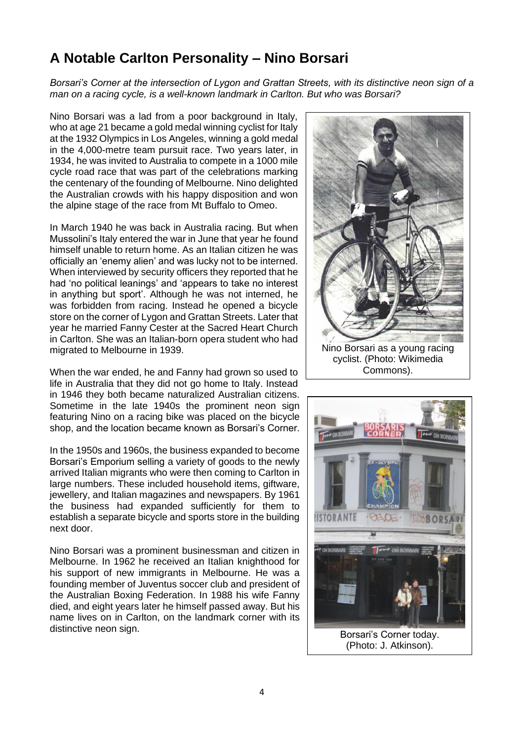## **A Notable Carlton Personality – Nino Borsari**

*Borsari's Corner at the intersection of Lygon and Grattan Streets, with its distinctive neon sign of a man on a racing cycle, is a well-known landmark in Carlton. But who was Borsari?*

Nino Borsari was a lad from a poor background in Italy, who at age 21 became a gold medal winning cyclist for Italy at the 1932 Olympics in Los Angeles, winning a gold medal in the 4,000-metre team pursuit race. Two years later, in 1934, he was invited to Australia to compete in a 1000 mile cycle road race that was part of the celebrations marking the centenary of the founding of Melbourne. Nino delighted the Australian crowds with his happy disposition and won the alpine stage of the race from Mt Buffalo to Omeo.

In March 1940 he was back in Australia racing. But when Mussolini's Italy entered the war in June that year he found himself unable to return home. As an Italian citizen he was officially an 'enemy alien' and was lucky not to be interned. When interviewed by security officers they reported that he had 'no political leanings' and 'appears to take no interest in anything but sport'. Although he was not interned, he was forbidden from racing. Instead he opened a bicycle store on the corner of Lygon and Grattan Streets. Later that year he married Fanny Cester at the Sacred Heart Church in Carlton. She was an Italian-born opera student who had migrated to Melbourne in 1939.

When the war ended, he and Fanny had grown so used to life in Australia that they did not go home to Italy. Instead in 1946 they both became naturalized Australian citizens. Sometime in the late 1940s the prominent neon sign featuring Nino on a racing bike was placed on the bicycle shop, and the location became known as Borsari's Corner.

In the 1950s and 1960s, the business expanded to become Borsari's Emporium selling a variety of goods to the newly arrived Italian migrants who were then coming to Carlton in large numbers. These included household items, giftware, jewellery, and Italian magazines and newspapers. By 1961 the business had expanded sufficiently for them to establish a separate bicycle and sports store in the building next door.

Nino Borsari was a prominent businessman and citizen in Melbourne. In 1962 he received an Italian knighthood for his support of new immigrants in Melbourne. He was a founding member of Juventus soccer club and president of the Australian Boxing Federation. In 1988 his wife Fanny died, and eight years later he himself passed away. But his name lives on in Carlton, on the landmark corner with its distinctive neon sign.



Commons).

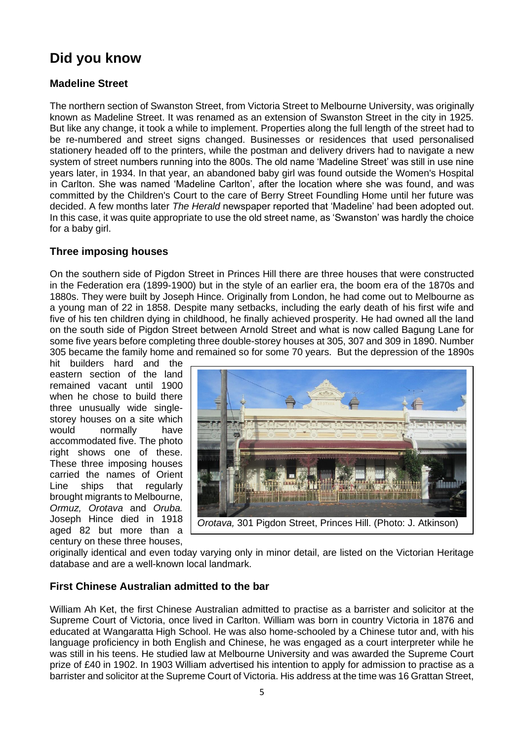## **Did you know**

#### **Madeline Street**

The northern section of Swanston Street, from Victoria Street to Melbourne University, was originally known as Madeline Street. It was renamed as an extension of Swanston Street in the city in 1925. But like any change, it took a while to implement. Properties along the full length of the street had to be re-numbered and street signs changed. Businesses or residences that used personalised stationery headed off to the printers, while the postman and delivery drivers had to navigate a new system of street numbers running into the 800s. The old name 'Madeline Street' was still in use nine years later, in 1934. In that year, an abandoned baby girl was found outside the Women's Hospital in Carlton. She was named 'Madeline Carlton', after the location where she was found, and was committed by the Children's Court to the care of Berry Street Foundling Home until her future was decided. A few months later *The Herald* newspaper reported that 'Madeline' had been adopted out. In this case, it was quite appropriate to use the old street name, as 'Swanston' was hardly the choice for a baby girl.

#### **Three imposing houses**

On the southern side of Pigdon Street in Princes Hill there are three houses that were constructed in the Federation era (1899-1900) but in the style of an earlier era, the boom era of the 1870s and 1880s. They were built by Joseph Hince. Originally from London, he had come out to Melbourne as a young man of 22 in 1858. Despite many setbacks, including the early death of his first wife and five of his ten children dying in childhood, he finally achieved prosperity. He had owned all the land on the south side of Pigdon Street between Arnold Street and what is now called Bagung Lane for some five years before completing three double-storey houses at 305, 307 and 309 in 1890. Number 305 became the family home and remained so for some 70 years. But the depression of the 1890s

hit builders hard and the eastern section of the land remained vacant until 1900 when he chose to build there three unusually wide singlestorey houses on a site which would normally have accommodated five. The photo right shows one of these. These three imposing houses carried the names of Orient Line ships that regularly brought migrants to Melbourne, *Ormuz, Orotava* and *Oruba.* Joseph Hince died in 1918 aged 82 but more than a century on these three houses,



*o*riginally identical and even today varying only in minor detail, are listed on the Victorian Heritage database and are a well-known local landmark.

#### **First Chinese Australian admitted to the bar**

William Ah Ket, the first Chinese Australian admitted to practise as a barrister and solicitor at the Supreme Court of Victoria, once lived in Carlton. William was born in country Victoria in 1876 and educated at Wangaratta High School. He was also home-schooled by a Chinese tutor and, with his language proficiency in both English and Chinese, he was engaged as a court interpreter while he was still in his teens. He studied law at Melbourne University and was awarded the Supreme Court prize of £40 in 1902. In 1903 William advertised his intention to apply for admission to practise as a barrister and solicitor at the Supreme Court of Victoria. His address at the time was 16 Grattan Street,